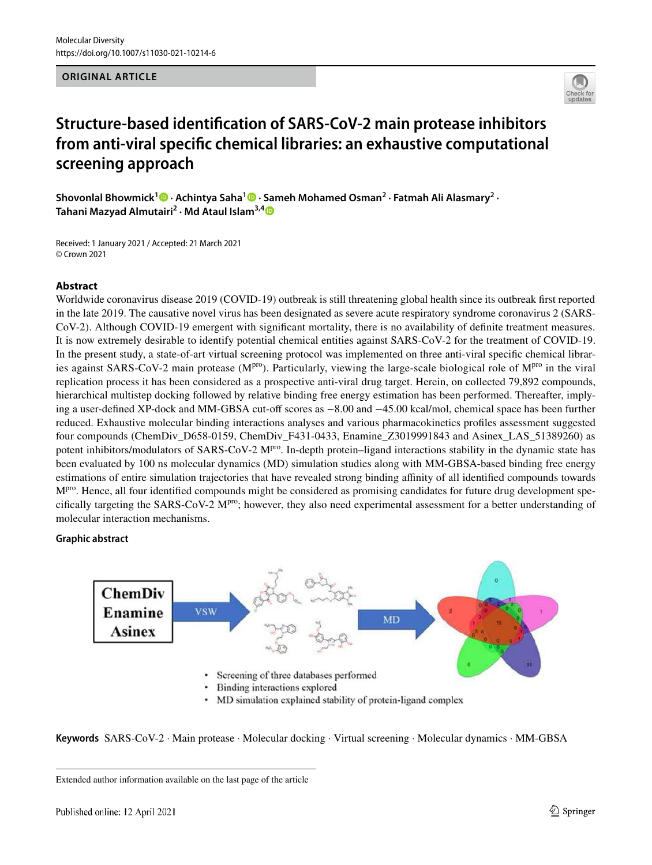## **ORIGINAL ARTICLE**



# **Structure‑based identification of SARS‑CoV‑2 main protease inhibitors from anti‑viral specific chemical libraries: an exhaustive computational screening approach**

Shovonlal Bhowmick<sup>1</sup><sup>®</sup> [·](https://orcid.org/0000-0002-8379-8286)Achintya Saha<sup>1</sup><sup>®</sup> · Sameh Mohamed Osman<sup>2</sup> · Fatmah Ali Alasmary<sup>2</sup> · **Tahani Mazyad Almutairi<sup>2</sup> · Md Ataul Islam3,[4](http://orcid.org/0000-0001-6286-6262)**

Received: 1 January 2021 / Accepted: 21 March 2021 © Crown 2021

## **Abstract**

Worldwide coronavirus disease 2019 (COVID-19) outbreak is still threatening global health since its outbreak first reported in the late 2019. The causative novel virus has been designated as severe acute respiratory syndrome coronavirus 2 (SARS-CoV-2). Although COVID-19 emergent with significant mortality, there is no availability of definite treatment measures. It is now extremely desirable to identify potential chemical entities against SARS-CoV-2 for the treatment of COVID-19. In the present study, a state-of-art virtual screening protocol was implemented on three anti-viral specific chemical libraries against SARS-CoV-2 main protease ( $M<sup>pro</sup>$ ). Particularly, viewing the large-scale biological role of  $M<sup>pro</sup>$  in the viral replication process it has been considered as a prospective anti-viral drug target. Herein, on collected 79,892 compounds, hierarchical multistep docking followed by relative binding free energy estimation has been performed. Thereafter, implying a user-defined XP-dock and MM-GBSA cut-off scores as −8.00 and −45.00 kcal/mol, chemical space has been further reduced. Exhaustive molecular binding interactions analyses and various pharmacokinetics profiles assessment suggested four compounds (ChemDiv\_D658-0159, ChemDiv\_F431-0433, Enamine\_Z3019991843 and Asinex\_LAS\_51389260) as potent inhibitors/modulators of SARS-CoV-2 M<sup>pro</sup>. In-depth protein–ligand interactions stability in the dynamic state has been evaluated by 100 ns molecular dynamics (MD) simulation studies along with MM-GBSA-based binding free energy estimations of entire simulation trajectories that have revealed strong binding affinity of all identified compounds towards  $M<sup>pro</sup>$ . Hence, all four identified compounds might be considered as promising candidates for future drug development specifically targeting the SARS-CoV-2 M<sup>pro</sup>; however, they also need experimental assessment for a better understanding of molecular interaction mechanisms.

### **Graphic abstract**



**Keywords** SARS-CoV-2 · Main protease · Molecular docking · Virtual screening · Molecular dynamics · MM-GBSA

Extended author information available on the last page of the article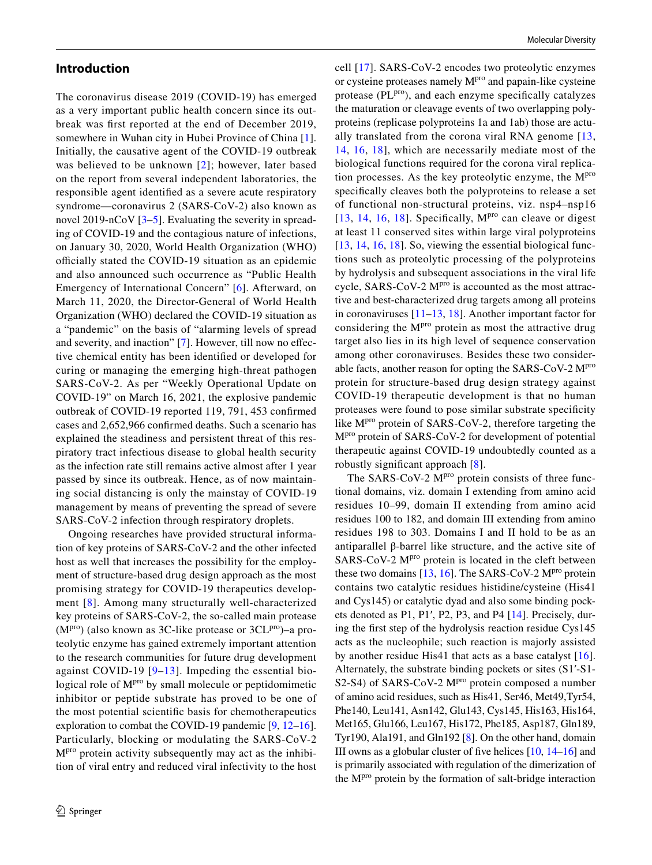## **Introduction**

The coronavirus disease 2019 (COVID-19) has emerged as a very important public health concern since its outbreak was first reported at the end of December 2019, somewhere in Wuhan city in Hubei Province of China [[1](#page-16-0)]. Initially, the causative agent of the COVID-19 outbreak was believed to be unknown [[2\]](#page-16-1); however, later based on the report from several independent laboratories, the responsible agent identified as a severe acute respiratory syndrome—coronavirus 2 (SARS-CoV-2) also known as novel 2019-nCoV [\[3](#page-16-2)–[5\]](#page-16-3). Evaluating the severity in spreading of COVID-19 and the contagious nature of infections, on January 30, 2020, World Health Organization (WHO) officially stated the COVID-19 situation as an epidemic and also announced such occurrence as "Public Health Emergency of International Concern" [[6](#page-16-4)]. Afterward, on March 11, 2020, the Director-General of World Health Organization (WHO) declared the COVID-19 situation as a "pandemic" on the basis of "alarming levels of spread and severity, and inaction" [\[7](#page-17-0)]. However, till now no effective chemical entity has been identified or developed for curing or managing the emerging high-threat pathogen SARS-CoV-2. As per "Weekly Operational Update on COVID-19" on March 16, 2021, the explosive pandemic outbreak of COVID-19 reported 119, 791, 453 confirmed cases and 2,652,966 confirmed deaths. Such a scenario has explained the steadiness and persistent threat of this respiratory tract infectious disease to global health security as the infection rate still remains active almost after 1 year passed by since its outbreak. Hence, as of now maintaining social distancing is only the mainstay of COVID-19 management by means of preventing the spread of severe SARS-CoV-2 infection through respiratory droplets.

Ongoing researches have provided structural information of key proteins of SARS-CoV-2 and the other infected host as well that increases the possibility for the employment of structure-based drug design approach as the most promising strategy for COVID-19 therapeutics development [\[8\]](#page-17-1). Among many structurally well-characterized key proteins of SARS-CoV-2, the so-called main protease  $(M<sup>pro</sup>)$  (also known as 3C-like protease or 3CL<sup>pro</sup>)–a proteolytic enzyme has gained extremely important attention to the research communities for future drug development against COVID-19 [[9](#page-17-2)–[13](#page-17-3)]. Impeding the essential biological role of M<sup>pro</sup> by small molecule or peptidomimetic inhibitor or peptide substrate has proved to be one of the most potential scientific basis for chemotherapeutics exploration to combat the COVID-19 pandemic [\[9](#page-17-2), [12](#page-17-4)[–16](#page-17-5)]. Particularly, blocking or modulating the SARS-CoV-2 Mpro protein activity subsequently may act as the inhibition of viral entry and reduced viral infectivity to the host cell [[17\]](#page-17-6). SARS-CoV-2 encodes two proteolytic enzymes or cysteine proteases namely M<sup>pro</sup> and papain-like cysteine protease (PL<sup>pro</sup>), and each enzyme specifically catalyzes the maturation or cleavage events of two overlapping polyproteins (replicase polyproteins 1a and 1ab) those are actually translated from the corona viral RNA genome [[13,](#page-17-3) [14,](#page-17-7) [16,](#page-17-5) [18\]](#page-17-8), which are necessarily mediate most of the biological functions required for the corona viral replication processes. As the key proteolytic enzyme, the M<sup>pro</sup> specifically cleaves both the polyproteins to release a set of functional non-structural proteins, viz. nsp4–nsp16 [[13](#page-17-3), [14](#page-17-7), [16,](#page-17-5) [18\]](#page-17-8). Specifically,  $M<sup>pro</sup>$  can cleave or digest at least 11 conserved sites within large viral polyproteins [[13,](#page-17-3) [14](#page-17-7), [16,](#page-17-5) [18\]](#page-17-8). So, viewing the essential biological functions such as proteolytic processing of the polyproteins by hydrolysis and subsequent associations in the viral life cycle, SARS-CoV-2 M<sup>pro</sup> is accounted as the most attractive and best-characterized drug targets among all proteins in coronaviruses [\[11](#page-17-9)[–13,](#page-17-3) [18\]](#page-17-8). Another important factor for considering the M<sup>pro</sup> protein as most the attractive drug target also lies in its high level of sequence conservation among other coronaviruses. Besides these two considerable facts, another reason for opting the SARS-CoV-2 Mpro protein for structure-based drug design strategy against COVID-19 therapeutic development is that no human proteases were found to pose similar substrate specificity like M<sup>pro</sup> protein of SARS-CoV-2, therefore targeting the Mpro protein of SARS-CoV-2 for development of potential therapeutic against COVID-19 undoubtedly counted as a robustly significant approach [[8](#page-17-1)].

The SARS-CoV-2  $M<sup>pro</sup>$  protein consists of three functional domains, viz. domain I extending from amino acid residues 10–99, domain II extending from amino acid residues 100 to 182, and domain III extending from amino residues 198 to 303. Domains I and II hold to be as an antiparallel β-barrel like structure, and the active site of SARS-CoV-2 M<sup>pro</sup> protein is located in the cleft between these two domains  $[13, 16]$  $[13, 16]$  $[13, 16]$ . The SARS-CoV-2 M<sup>pro</sup> protein contains two catalytic residues histidine/cysteine (His41 and Cys145) or catalytic dyad and also some binding pockets denoted as P1, P1′, P2, P3, and P4 [[14](#page-17-7)]. Precisely, during the first step of the hydrolysis reaction residue Cys145 acts as the nucleophile; such reaction is majorly assisted by another residue His41 that acts as a base catalyst [\[16](#page-17-5)]. Alternately, the substrate binding pockets or sites (S1′-S1- S2-S4) of SARS-CoV-2  $M<sup>pro</sup>$  protein composed a number of amino acid residues, such as His41, Ser46, Met49,Tyr54, Phe140, Leu141, Asn142, Glu143, Cys145, His163, His164, Met165, Glu166, Leu167, His172, Phe185, Asp187, Gln189, Tyr190, Ala191, and Gln192 [[8\]](#page-17-1). On the other hand, domain III owns as a globular cluster of five helices [\[10](#page-17-10), [14](#page-17-7)[–16](#page-17-5)] and is primarily associated with regulation of the dimerization of the Mpro protein by the formation of salt-bridge interaction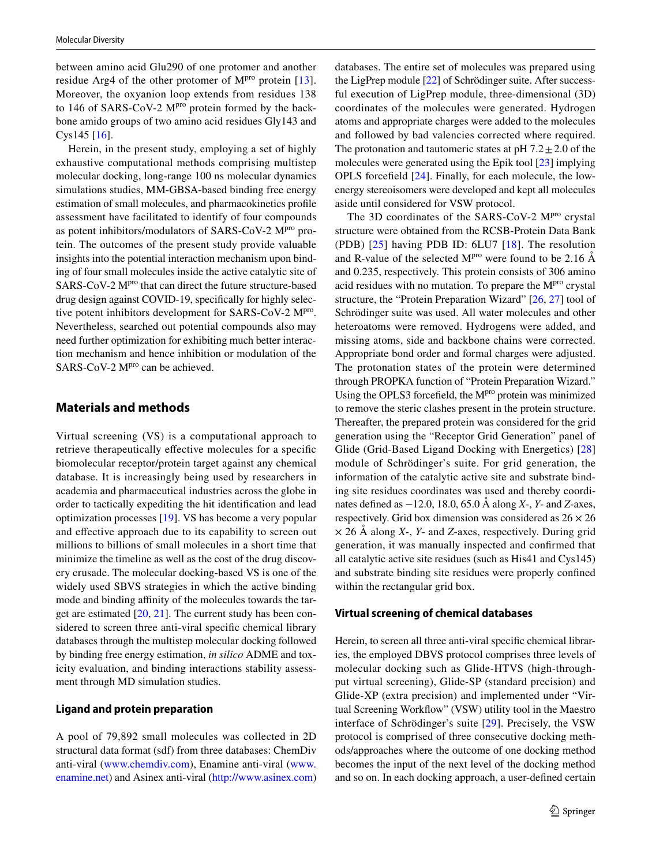between amino acid Glu290 of one protomer and another residue Arg4 of the other protomer of  $M<sup>pro</sup>$  protein [[13](#page-17-3)]. Moreover, the oxyanion loop extends from residues 138 to 146 of SARS-CoV-2  $M<sup>pro</sup>$  protein formed by the backbone amido groups of two amino acid residues Gly143 and Cys145 [[16\]](#page-17-5).

Herein, in the present study, employing a set of highly exhaustive computational methods comprising multistep molecular docking, long-range 100 ns molecular dynamics simulations studies, MM-GBSA-based binding free energy estimation of small molecules, and pharmacokinetics profile assessment have facilitated to identify of four compounds as potent inhibitors/modulators of SARS-CoV-2 M<sup>pro</sup> protein. The outcomes of the present study provide valuable insights into the potential interaction mechanism upon binding of four small molecules inside the active catalytic site of SARS-CoV-2 M<sup>pro</sup> that can direct the future structure-based drug design against COVID-19, specifically for highly selective potent inhibitors development for SARS-CoV-2 M<sup>pro</sup>. Nevertheless, searched out potential compounds also may need further optimization for exhibiting much better interaction mechanism and hence inhibition or modulation of the SARS-CoV-2 M<sup>pro</sup> can be achieved.

## **Materials and methods**

Virtual screening (VS) is a computational approach to retrieve therapeutically effective molecules for a specific biomolecular receptor/protein target against any chemical database. It is increasingly being used by researchers in academia and pharmaceutical industries across the globe in order to tactically expediting the hit identification and lead optimization processes [[19\]](#page-17-11). VS has become a very popular and effective approach due to its capability to screen out millions to billions of small molecules in a short time that minimize the timeline as well as the cost of the drug discovery crusade. The molecular docking-based VS is one of the widely used SBVS strategies in which the active binding mode and binding affinity of the molecules towards the target are estimated [\[20](#page-17-12), [21\]](#page-17-13). The current study has been considered to screen three anti-viral specific chemical library databases through the multistep molecular docking followed by binding free energy estimation, *in silico* ADME and toxicity evaluation, and binding interactions stability assessment through MD simulation studies.

## **Ligand and protein preparation**

A pool of 79,892 small molecules was collected in 2D structural data format (sdf) from three databases: ChemDiv anti-viral [\(www.](http://www.enamine.net)chemdiv.com), Enamine anti-viral (www. enamine.net) and Asinex anti-viral (http://www.asinex.com) databases. The entire set of molecules was prepared using the LigPrep module [\[22](#page-17-14)] of Schrödinger suite. After successful execution of LigPrep module, three-dimensional (3D) coordinates of the molecules were generated. Hydrogen atoms and appropriate charges were added to the molecules and followed by bad valencies corrected where required. The protonation and tautomeric states at  $pH 7.2 \pm 2.0$  of the molecules were generated using the Epik tool [[23\]](#page-17-15) implying OPLS forcefield [[24](#page-17-16)]. Finally, for each molecule, the lowenergy stereoisomers were developed and kept all molecules aside until considered for VSW protocol.

The 3D coordinates of the SARS-CoV-2 M<sup>pro</sup> crystal structure were obtained from the RCSB-Protein Data Bank (PDB) [\[25\]](#page-17-17) having PDB ID: 6LU7 [[18\]](#page-17-8). The resolution and R-value of the selected  $M<sup>pro</sup>$  were found to be 2.16 Å and 0.235, respectively. This protein consists of 306 amino acid residues with no mutation. To prepare the M<sup>pro</sup> crystal structure, the "Protein Preparation Wizard" [[26,](#page-17-18) [27\]](#page-17-19) tool of Schrödinger suite was used. All water molecules and other heteroatoms were removed. Hydrogens were added, and missing atoms, side and backbone chains were corrected. Appropriate bond order and formal charges were adjusted. The protonation states of the protein were determined through PROPKA function of "Protein Preparation Wizard." Using the OPLS3 forcefield, the M<sup>pro</sup> protein was minimized to remove the steric clashes present in the protein structure. Thereafter, the prepared protein was considered for the grid generation using the "Receptor Grid Generation" panel of Glide (Grid-Based Ligand Docking with Energetics) [[28](#page-17-20)] module of Schrödinger's suite. For grid generation, the information of the catalytic active site and substrate binding site residues coordinates was used and thereby coordinates defined as −12.0, 18.0, 65.0 Å along *X*-, *Y*- and *Z*-axes, respectively. Grid box dimension was considered as  $26 \times 26$ × 26 Å along *X*-, *Y*- and *Z*-axes, respectively. During grid generation, it was manually inspected and confirmed that all catalytic active site residues (such as His41 and Cys145) and substrate binding site residues were properly confined within the rectangular grid box.

## **Virtual screening of chemical databases**

Herein, to screen all three anti-viral specific chemical libraries, the employed DBVS protocol comprises three levels of molecular docking such as Glide-HTVS (high-throughput virtual screening), Glide-SP (standard precision) and Glide-XP (extra precision) and implemented under "Virtual Screening Workflow" (VSW) utility tool in the Maestro interface of Schrödinger's suite [[29](#page-17-21)]. Precisely, the VSW protocol is comprised of three consecutive docking methods/approaches where the outcome of one docking method becomes the input of the next level of the docking method and so on. In each docking approach, a user-defined certain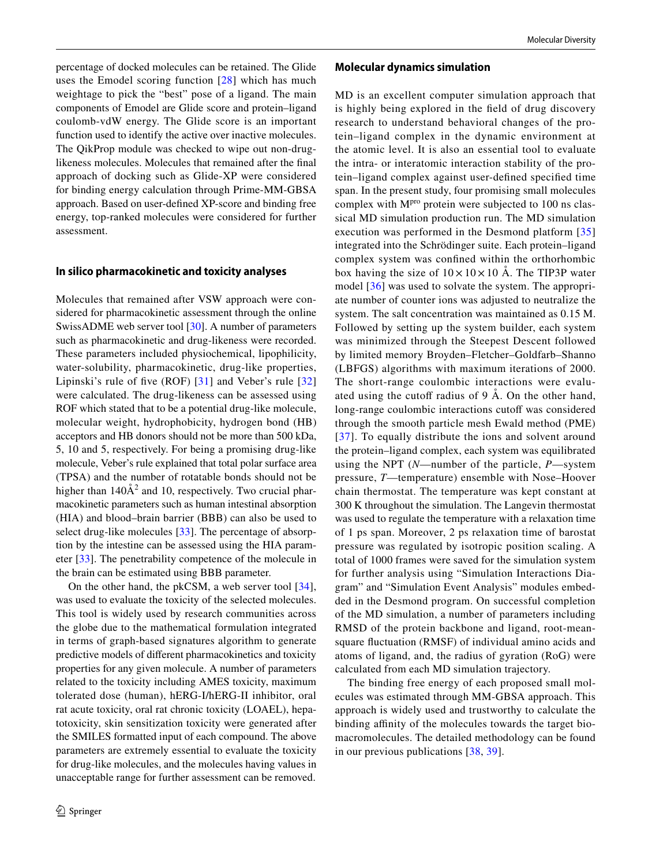percentage of docked molecules can be retained. The Glide uses the Emodel scoring function [[28\]](#page-17-20) which has much weightage to pick the "best" pose of a ligand. The main components of Emodel are Glide score and protein–ligand coulomb-vdW energy. The Glide score is an important function used to identify the active over inactive molecules. The QikProp module was checked to wipe out non-druglikeness molecules. Molecules that remained after the final approach of docking such as Glide-XP were considered for binding energy calculation through Prime-MM-GBSA approach. Based on user-defined XP-score and binding free energy, top-ranked molecules were considered for further assessment.

#### **In silico pharmacokinetic and toxicity analyses**

Molecules that remained after VSW approach were considered for pharmacokinetic assessment through the online SwissADME web server tool [[30\]](#page-17-22). A number of parameters such as pharmacokinetic and drug-likeness were recorded. These parameters included physiochemical, lipophilicity, water-solubility, pharmacokinetic, drug-like properties, Lipinski's rule of five (ROF) [[31\]](#page-17-23) and Veber's rule [\[32\]](#page-17-24) were calculated. The drug-likeness can be assessed using ROF which stated that to be a potential drug-like molecule, molecular weight, hydrophobicity, hydrogen bond (HB) acceptors and HB donors should not be more than 500 kDa, 5, 10 and 5, respectively. For being a promising drug-like molecule, Veber's rule explained that total polar surface area (TPSA) and the number of rotatable bonds should not be higher than  $140\AA^2$  and 10, respectively. Two crucial pharmacokinetic parameters such as human intestinal absorption (HIA) and blood–brain barrier (BBB) can also be used to select drug-like molecules [[33\]](#page-17-25). The percentage of absorption by the intestine can be assessed using the HIA parameter [\[33](#page-17-25)]. The penetrability competence of the molecule in the brain can be estimated using BBB parameter.

On the other hand, the pkCSM, a web server tool [[34](#page-17-26)], was used to evaluate the toxicity of the selected molecules. This tool is widely used by research communities across the globe due to the mathematical formulation integrated in terms of graph-based signatures algorithm to generate predictive models of different pharmacokinetics and toxicity properties for any given molecule. A number of parameters related to the toxicity including AMES toxicity, maximum tolerated dose (human), hERG-I/hERG-II inhibitor, oral rat acute toxicity, oral rat chronic toxicity (LOAEL), hepatotoxicity, skin sensitization toxicity were generated after the SMILES formatted input of each compound. The above parameters are extremely essential to evaluate the toxicity for drug-like molecules, and the molecules having values in unacceptable range for further assessment can be removed.

#### **Molecular dynamics simulation**

MD is an excellent computer simulation approach that is highly being explored in the field of drug discovery research to understand behavioral changes of the protein–ligand complex in the dynamic environment at the atomic level. It is also an essential tool to evaluate the intra- or interatomic interaction stability of the protein–ligand complex against user-defined specified time span. In the present study, four promising small molecules complex with  $M<sup>pro</sup>$  protein were subjected to 100 ns classical MD simulation production run. The MD simulation execution was performed in the Desmond platform [\[35\]](#page-17-27) integrated into the Schrödinger suite. Each protein–ligand complex system was confined within the orthorhombic box having the size of  $10 \times 10 \times 10$  Å. The TIP3P water model [[36\]](#page-17-28) was used to solvate the system. The appropriate number of counter ions was adjusted to neutralize the system. The salt concentration was maintained as 0.15 M. Followed by setting up the system builder, each system was minimized through the Steepest Descent followed by limited memory Broyden–Fletcher–Goldfarb–Shanno (LBFGS) algorithms with maximum iterations of 2000. The short-range coulombic interactions were evaluated using the cutoff radius of 9 Å. On the other hand, long-range coulombic interactions cutoff was considered through the smooth particle mesh Ewald method (PME) [[37](#page-17-29)]. To equally distribute the ions and solvent around the protein–ligand complex, each system was equilibrated using the NPT (*N*—number of the particle, *P*—system pressure, *T*—temperature) ensemble with Nose–Hoover chain thermostat. The temperature was kept constant at 300 K throughout the simulation. The Langevin thermostat was used to regulate the temperature with a relaxation time of 1 ps span. Moreover, 2 ps relaxation time of barostat pressure was regulated by isotropic position scaling. A total of 1000 frames were saved for the simulation system for further analysis using "Simulation Interactions Diagram" and "Simulation Event Analysis" modules embedded in the Desmond program. On successful completion of the MD simulation, a number of parameters including RMSD of the protein backbone and ligand, root-meansquare fluctuation (RMSF) of individual amino acids and atoms of ligand, and, the radius of gyration (RoG) were calculated from each MD simulation trajectory.

The binding free energy of each proposed small molecules was estimated through MM-GBSA approach. This approach is widely used and trustworthy to calculate the binding affinity of the molecules towards the target biomacromolecules. The detailed methodology can be found in our previous publications [[38](#page-17-30), [39\]](#page-17-31).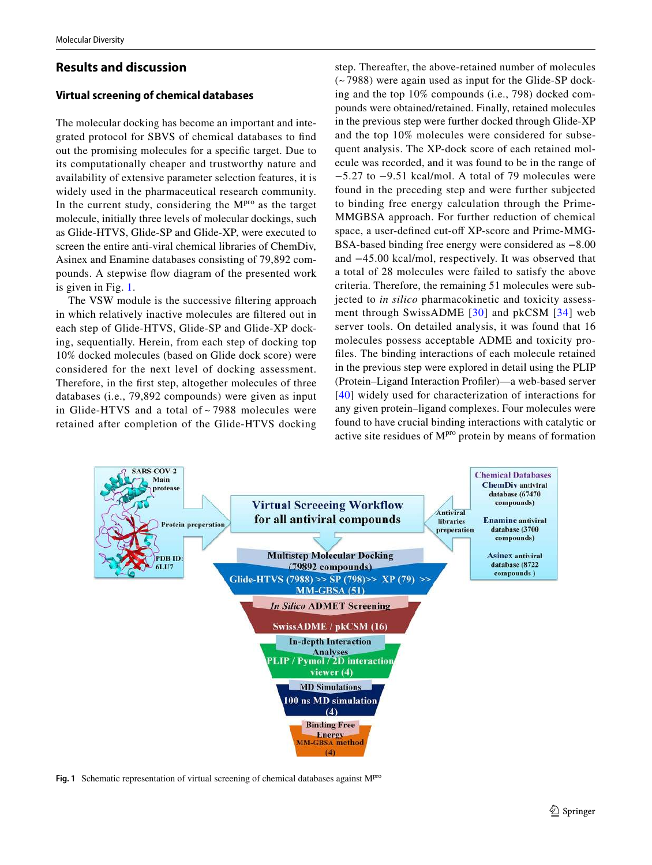## **Results and discussion**

## **Virtual screening of chemical databases**

The molecular docking has become an important and integrated protocol for SBVS of chemical databases to find out the promising molecules for a specific target. Due to its computationally cheaper and trustworthy nature and availability of extensive parameter selection features, it is widely used in the pharmaceutical research community. In the current study, considering the  $M<sup>pro</sup>$  as the target molecule, initially three levels of molecular dockings, such as Glide-HTVS, Glide-SP and Glide-XP, were executed to screen the entire anti-viral chemical libraries of ChemDiv, Asinex and Enamine databases consisting of 79,892 compounds. A stepwise flow diagram of the presented work is given in Fig. [1](#page-4-0).

The VSW module is the successive filtering approach in which relatively inactive molecules are filtered out in each step of Glide-HTVS, Glide-SP and Glide-XP docking, sequentially. Herein, from each step of docking top 10% docked molecules (based on Glide dock score) were considered for the next level of docking assessment. Therefore, in the first step, altogether molecules of three databases (i.e., 79,892 compounds) were given as input in Glide-HTVS and a total of ~ 7988 molecules were retained after completion of the Glide-HTVS docking

step. Thereafter, the above-retained number of molecules (~ 7988) were again used as input for the Glide-SP docking and the top 10% compounds (i.e., 798) docked compounds were obtained/retained. Finally, retained molecules in the previous step were further docked through Glide-XP and the top 10% molecules were considered for subsequent analysis. The XP-dock score of each retained molecule was recorded, and it was found to be in the range of −5.27 to −9.51 kcal/mol. A total of 79 molecules were found in the preceding step and were further subjected to binding free energy calculation through the Prime-MMGBSA approach. For further reduction of chemical space, a user-defined cut-off XP-score and Prime-MMG-BSA-based binding free energy were considered as −8.00 and −45.00 kcal/mol, respectively. It was observed that a total of 28 molecules were failed to satisfy the above criteria. Therefore, the remaining 51 molecules were subjected to *in silico* pharmacokinetic and toxicity assessment through SwissADME [[30](#page-17-22)] and pkCSM [[34\]](#page-17-26) web server tools. On detailed analysis, it was found that 16 molecules possess acceptable ADME and toxicity profiles. The binding interactions of each molecule retained in the previous step were explored in detail using the PLIP (Protein–Ligand Interaction Profiler)—a web-based server [[40](#page-17-32)] widely used for characterization of interactions for any given protein–ligand complexes. Four molecules were found to have crucial binding interactions with catalytic or active site residues of  $M<sup>pro</sup>$  protein by means of formation



<span id="page-4-0"></span>**Fig. 1** Schematic representation of virtual screening of chemical databases against M<sup>pro</sup>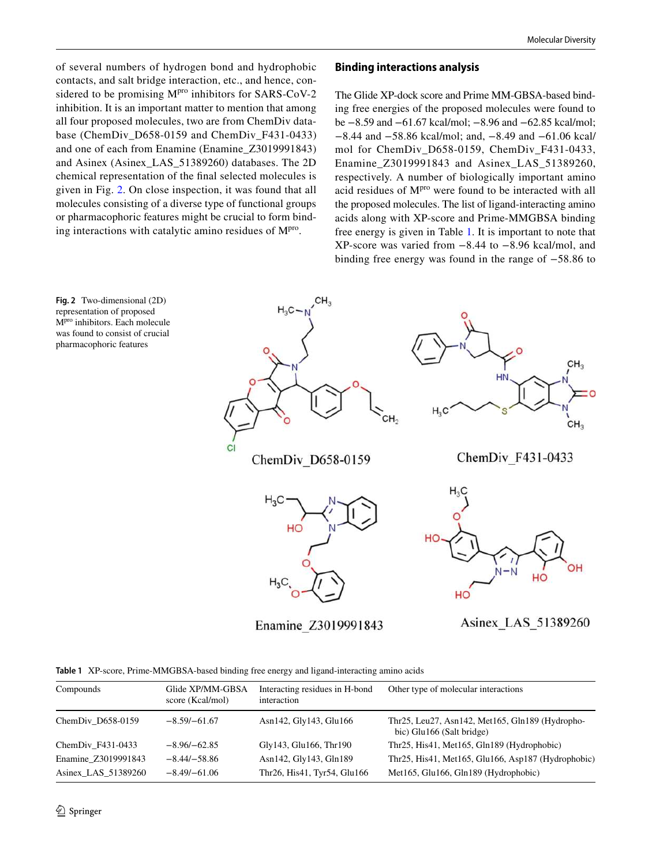of several numbers of hydrogen bond and hydrophobic contacts, and salt bridge interaction, etc., and hence, considered to be promising  $M<sup>pro</sup>$  inhibitors for SARS-CoV-2 inhibition. It is an important matter to mention that among all four proposed molecules, two are from ChemDiv database (ChemDiv\_D658-0159 and ChemDiv\_F431-0433) and one of each from Enamine (Enamine\_Z3019991843) and Asinex (Asinex\_LAS\_51389260) databases. The 2D chemical representation of the final selected molecules is given in Fig. [2](#page-5-0). On close inspection, it was found that all molecules consisting of a diverse type of functional groups or pharmacophoric features might be crucial to form binding interactions with catalytic amino residues of M<sup>pro</sup>.

#### **Binding interactions analysis**

The Glide XP-dock score and Prime MM-GBSA-based binding free energies of the proposed molecules were found to be −8.59 and −61.67 kcal/mol; −8.96 and −62.85 kcal/mol; −8.44 and −58.86 kcal/mol; and, −8.49 and −61.06 kcal/ mol for ChemDiv\_D658-0159, ChemDiv\_F431-0433, Enamine\_Z3019991843 and Asinex\_LAS\_51389260, respectively. A number of biologically important amino acid residues of  $M<sup>pro</sup>$  were found to be interacted with all the proposed molecules. The list of ligand-interacting amino acids along with XP-score and Prime-MMGBSA binding free energy is given in Table [1](#page-5-1). It is important to note that XP-score was varied from −8.44 to −8.96 kcal/mol, and binding free energy was found in the range of −58.86 to

<span id="page-5-0"></span>

Enamine Z3019991843

Asinex LAS 51389260

<span id="page-5-1"></span>

|  |  | Table 1 XP-score, Prime-MMGBSA-based binding free energy and ligand-interacting amino acids |  |  |  |  |  |  |
|--|--|---------------------------------------------------------------------------------------------|--|--|--|--|--|--|
|--|--|---------------------------------------------------------------------------------------------|--|--|--|--|--|--|

| Compounds           | Glide XP/MM-GBSA<br>score (Kcal/mol) | Interacting residues in H-bond<br>interaction | Other type of molecular interactions                                         |
|---------------------|--------------------------------------|-----------------------------------------------|------------------------------------------------------------------------------|
| ChemDiv D658-0159   | $-8.59/-61.67$                       | Asn142, Gly143, Glu166                        | Thr25, Leu27, Asn142, Met165, Gln189 (Hydropho-<br>bic) Glu166 (Salt bridge) |
| ChemDiv $F431-0433$ | $-8.96/-62.85$                       | Gly143, Glu166, Thr190                        | Thr25, His41, Met165, Gln189 (Hydrophobic)                                   |
| Enamine Z3019991843 | $-8.44/-58.86$                       | Asn142, Gly143, Gln189                        | Thr25, His41, Met165, Glu166, Asp187 (Hydrophobic)                           |
| Asinex LAS 51389260 | $-8.49/-61.06$                       | Thr26, His41, Tyr54, Glu166                   | Met165, Glu166, Gln189 (Hydrophobic)                                         |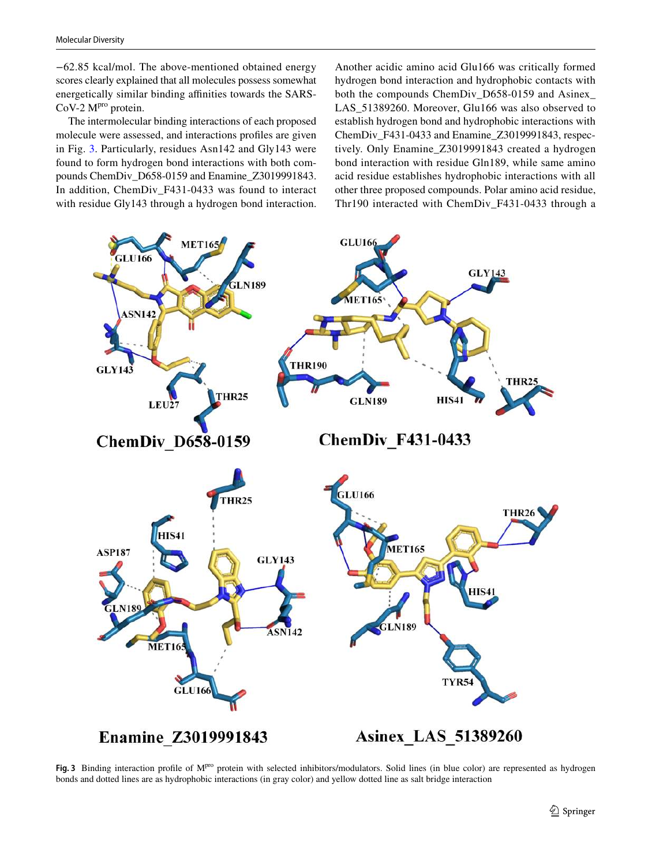−62.85 kcal/mol. The above-mentioned obtained energy scores clearly explained that all molecules possess somewhat energetically similar binding affinities towards the SARS-CoV-2 M<sup>pro</sup> protein.

The intermolecular binding interactions of each proposed molecule were assessed, and interactions profiles are given in Fig. [3.](#page-6-0) Particularly, residues Asn142 and Gly143 were found to form hydrogen bond interactions with both compounds ChemDiv\_D658-0159 and Enamine\_Z3019991843. In addition, ChemDiv\_F431-0433 was found to interact with residue Gly143 through a hydrogen bond interaction.

Another acidic amino acid Glu166 was critically formed hydrogen bond interaction and hydrophobic contacts with both the compounds ChemDiv\_D658-0159 and Asinex\_ LAS\_51389260. Moreover, Glu166 was also observed to establish hydrogen bond and hydrophobic interactions with ChemDiv\_F431-0433 and Enamine\_Z3019991843, respectively. Only Enamine\_Z3019991843 created a hydrogen bond interaction with residue Gln189, while same amino acid residue establishes hydrophobic interactions with all other three proposed compounds. Polar amino acid residue, Thr190 interacted with ChemDiv\_F431-0433 through a



<span id="page-6-0"></span>Fig. 3 Binding interaction profile of M<sup>pro</sup> protein with selected inhibitors/modulators. Solid lines (in blue color) are represented as hydrogen bonds and dotted lines are as hydrophobic interactions (in gray color) and yellow dotted line as salt bridge interaction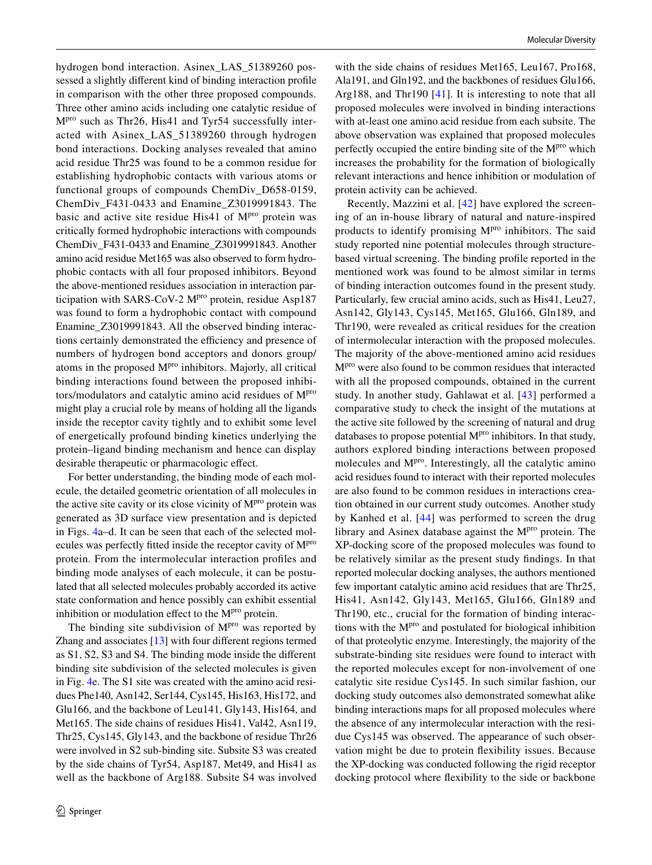hydrogen bond interaction. Asinex\_LAS\_51389260 possessed a slightly different kind of binding interaction profile in comparison with the other three proposed compounds. Three other amino acids including one catalytic residue of  $M<sup>pro</sup>$  such as Thr26, His41 and Tyr54 successfully interacted with Asinex\_LAS\_51389260 through hydrogen bond interactions. Docking analyses revealed that amino acid residue Thr25 was found to be a common residue for establishing hydrophobic contacts with various atoms or functional groups of compounds ChemDiv\_D658-0159, ChemDiv\_F431-0433 and Enamine\_Z3019991843. The basic and active site residue His41 of M<sup>pro</sup> protein was critically formed hydrophobic interactions with compounds ChemDiv\_F431-0433 and Enamine\_Z3019991843. Another amino acid residue Met165 was also observed to form hydrophobic contacts with all four proposed inhibitors. Beyond the above-mentioned residues association in interaction participation with SARS-CoV-2 M<sup>pro</sup> protein, residue Asp187 was found to form a hydrophobic contact with compound Enamine\_Z3019991843. All the observed binding interactions certainly demonstrated the efficiency and presence of numbers of hydrogen bond acceptors and donors group/ atoms in the proposed M<sup>pro</sup> inhibitors. Majorly, all critical binding interactions found between the proposed inhibitors/modulators and catalytic amino acid residues of  $M<sup>pro</sup>$ might play a crucial role by means of holding all the ligands inside the receptor cavity tightly and to exhibit some level of energetically profound binding kinetics underlying the protein–ligand binding mechanism and hence can display desirable therapeutic or pharmacologic effect.

For better understanding, the binding mode of each molecule, the detailed geometric orientation of all molecules in the active site cavity or its close vicinity of  $M<sup>pro</sup>$  protein was generated as 3D surface view presentation and is depicted in Figs. [4a](#page-8-0)–d. It can be seen that each of the selected molecules was perfectly fitted inside the receptor cavity of Mpro protein. From the intermolecular interaction profiles and binding mode analyses of each molecule, it can be postulated that all selected molecules probably accorded its active state conformation and hence possibly can exhibit essential inhibition or modulation effect to the M<sup>pro</sup> protein.

The binding site subdivision of M<sup>pro</sup> was reported by Zhang and associates [\[13](#page-17-3)] with four different regions termed as S1, S2, S3 and S4. The binding mode inside the different binding site subdivision of the selected molecules is given in Fig. [4](#page-8-0)e. The S1 site was created with the amino acid residues Phe140, Asn142, Ser144, Cys145, His163, His172, and Glu166, and the backbone of Leu141, Gly143, His164, and Met165. The side chains of residues His41, Val42, Asn119, Thr25, Cys145, Gly143, and the backbone of residue Thr26 were involved in S2 sub-binding site. Subsite S3 was created by the side chains of Tyr54, Asp187, Met49, and His41 as well as the backbone of Arg188. Subsite S4 was involved

with the side chains of residues Met165, Leu167, Pro168, Ala191, and Gln192, and the backbones of residues Glu166, Arg188, and Thr190 [[41](#page-17-33)]. It is interesting to note that all proposed molecules were involved in binding interactions with at-least one amino acid residue from each subsite. The above observation was explained that proposed molecules perfectly occupied the entire binding site of the  $M<sup>pro</sup>$  which increases the probability for the formation of biologically relevant interactions and hence inhibition or modulation of protein activity can be achieved.

Recently, Mazzini et al. [[42](#page-17-34)] have explored the screening of an in-house library of natural and nature-inspired products to identify promising  $M<sup>pro</sup>$  inhibitors. The said study reported nine potential molecules through structurebased virtual screening. The binding profile reported in the mentioned work was found to be almost similar in terms of binding interaction outcomes found in the present study. Particularly, few crucial amino acids, such as His41, Leu27, Asn142, Gly143, Cys145, Met165, Glu166, Gln189, and Thr190, were revealed as critical residues for the creation of intermolecular interaction with the proposed molecules. The majority of the above-mentioned amino acid residues Mpro were also found to be common residues that interacted with all the proposed compounds, obtained in the current study. In another study, Gahlawat et al. [[43\]](#page-18-0) performed a comparative study to check the insight of the mutations at the active site followed by the screening of natural and drug databases to propose potential  $M<sup>pro</sup>$  inhibitors. In that study, authors explored binding interactions between proposed molecules and M<sup>pro</sup>. Interestingly, all the catalytic amino acid residues found to interact with their reported molecules are also found to be common residues in interactions creation obtained in our current study outcomes. Another study by Kanhed et al. [[44](#page-18-1)] was performed to screen the drug library and Asinex database against the  $M<sup>pro</sup>$  protein. The XP-docking score of the proposed molecules was found to be relatively similar as the present study findings. In that reported molecular docking analyses, the authors mentioned few important catalytic amino acid residues that are Thr25, His41, Asn142, Gly143, Met165, Glu166, Gln189 and Thr190, etc., crucial for the formation of binding interactions with the M<sup>pro</sup> and postulated for biological inhibition of that proteolytic enzyme. Interestingly, the majority of the substrate-binding site residues were found to interact with the reported molecules except for non-involvement of one catalytic site residue Cys145. In such similar fashion, our docking study outcomes also demonstrated somewhat alike binding interactions maps for all proposed molecules where the absence of any intermolecular interaction with the residue Cys145 was observed. The appearance of such observation might be due to protein flexibility issues. Because the XP-docking was conducted following the rigid receptor docking protocol where flexibility to the side or backbone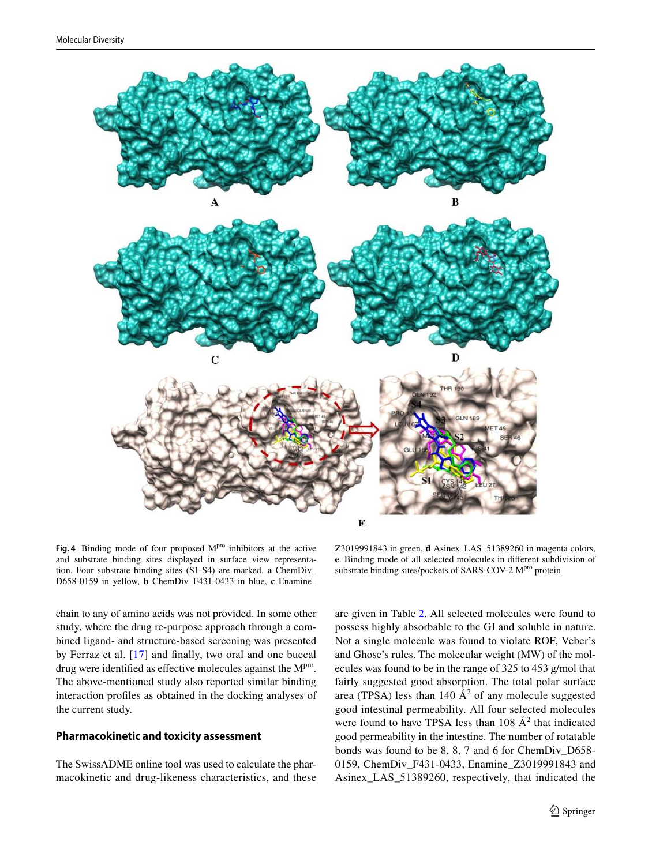

<span id="page-8-0"></span>Fig. 4 Binding mode of four proposed M<sup>pro</sup> inhibitors at the active and substrate binding sites displayed in surface view representation. Four substrate binding sites (S1-S4) are marked. **a** ChemDiv\_ D658-0159 in yellow, **b** ChemDiv\_F431-0433 in blue, **c** Enamine\_

chain to any of amino acids was not provided. In some other study, where the drug re-purpose approach through a combined ligand- and structure-based screening was presented by Ferraz et al. [[17\]](#page-17-6) and finally, two oral and one buccal drug were identified as effective molecules against the M<sup>pro</sup>. The above-mentioned study also reported similar binding interaction profiles as obtained in the docking analyses of

#### **Pharmacokinetic and toxicity assessment**

the current study.

The SwissADME online tool was used to calculate the pharmacokinetic and drug-likeness characteristics, and these

Z3019991843 in green, **d** Asinex\_LAS\_51389260 in magenta colors, **e**. Binding mode of all selected molecules in different subdivision of substrate binding sites/pockets of SARS-COV-2 M<sup>pro</sup> protein

are given in Table [2.](#page-9-0) All selected molecules were found to possess highly absorbable to the GI and soluble in nature. Not a single molecule was found to violate ROF, Veber's and Ghose's rules. The molecular weight (MW) of the molecules was found to be in the range of 325 to 453 g/mol that fairly suggested good absorption. The total polar surface area (TPSA) less than 140  $\AA^2$  of any molecule suggested good intestinal permeability. All four selected molecules were found to have TPSA less than  $108 \text{ Å}^2$  that indicated good permeability in the intestine. The number of rotatable bonds was found to be 8, 8, 7 and 6 for ChemDiv\_D658- 0159, ChemDiv\_F431-0433, Enamine\_Z3019991843 and Asinex\_LAS\_51389260, respectively, that indicated the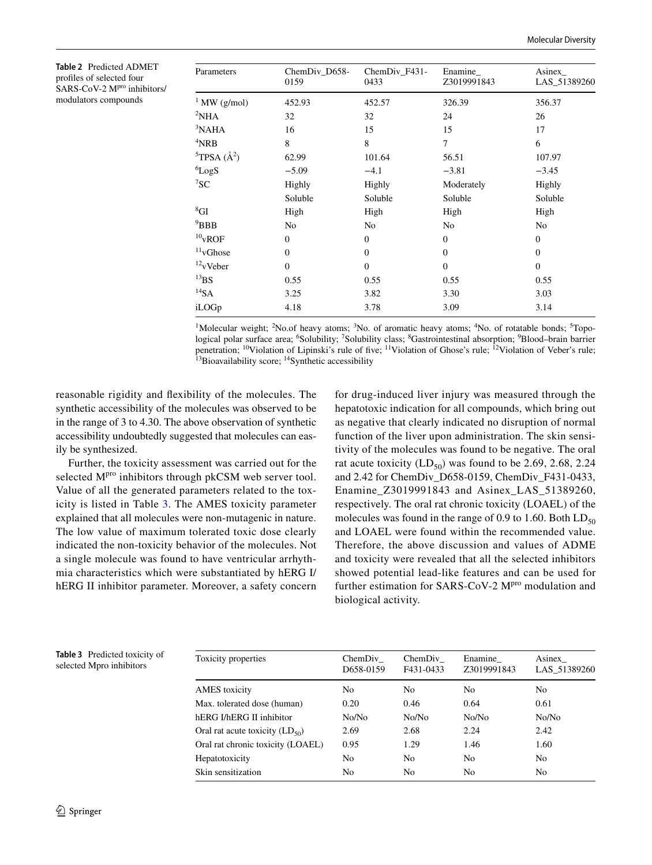<span id="page-9-0"></span>**Table 2** Predicted ADMET profiles of selected four SARS-CoV-2 M<sup>pro</sup> inhibitors/ modulators compounds

| Parameters                         | ChemDiv_D658-<br>0159 | ChemDiv_F431-<br>0433 | Enamine<br>Z3019991843 | Asinex<br>LAS_51389260 |
|------------------------------------|-----------------------|-----------------------|------------------------|------------------------|
| $1$ MW (g/mol)                     | 452.93                | 452.57                | 326.39                 | 356.37                 |
| ${}^{2}NHA$                        | 32                    | 32                    | 24                     | 26                     |
| $3$ NAHA                           | 16                    | 15                    | 15                     | 17                     |
| $4$ NRB                            | 8                     | 8                     | 7                      | 6                      |
| ${}^5$ TPSA ( $\AA$ <sup>2</sup> ) | 62.99                 | 101.64                | 56.51                  | 107.97                 |
| ${}^{6}LogS$                       | $-5.09$               | $-4.1$                | $-3.81$                | $-3.45$                |
| ${}^{7}SC$                         | Highly                | Highly                | Moderately             | Highly                 |
|                                    | Soluble               | Soluble               | Soluble                | Soluble                |
| ${}^{8}{\rm GI}$                   | High                  | High                  | High                   | High                   |
| $9$ BBB                            | No                    | No                    | No                     | No                     |
| $10$ <sub>V</sub> ROF              | $\Omega$              | $\Omega$              | $\overline{0}$         | $\mathbf{0}$           |
| $\rm ^{11}vGhose$                  | $\Omega$              | $\Omega$              | $\overline{0}$         | $\mathbf{0}$           |
| $12$ <sub>V</sub> Veber            | $\Omega$              | $\Omega$              | $\overline{0}$         | $\mathbf{0}$           |
| $^{13} \mbox{BS}$                  | 0.55                  | 0.55                  | 0.55                   | 0.55                   |
| $^{14}$ SA                         | 3.25                  | 3.82                  | 3.30                   | 3.03                   |
| iLOGp                              | 4.18                  | 3.78                  | 3.09                   | 3.14                   |

<sup>1</sup>Molecular weight; <sup>2</sup>No.of heavy atoms; <sup>3</sup>No. of aromatic heavy atoms; <sup>4</sup>No. of rotatable bonds; <sup>5</sup>Topological polar surface area; <sup>6</sup>Solubility; <sup>7</sup>Solubility class; <sup>8</sup>Gastrointestinal absorption; <sup>9</sup>Blood–brain barrier penetration; <sup>10</sup>Violation of Lipinski's rule of five; <sup>11</sup>Violation of Ghose's rule; <sup>12</sup>Violation of Veber's rule;  $13B$ ioavailability score;  $14S$ ynthetic accessibility

reasonable rigidity and flexibility of the molecules. The synthetic accessibility of the molecules was observed to be in the range of 3 to 4.30. The above observation of synthetic accessibility undoubtedly suggested that molecules can easily be synthesized.

Further, the toxicity assessment was carried out for the selected M<sup>pro</sup> inhibitors through pkCSM web server tool. Value of all the generated parameters related to the toxicity is listed in Table [3.](#page-9-1) The AMES toxicity parameter explained that all molecules were non-mutagenic in nature. The low value of maximum tolerated toxic dose clearly indicated the non-toxicity behavior of the molecules. Not a single molecule was found to have ventricular arrhythmia characteristics which were substantiated by hERG I/ hERG II inhibitor parameter. Moreover, a safety concern for drug-induced liver injury was measured through the hepatotoxic indication for all compounds, which bring out as negative that clearly indicated no disruption of normal function of the liver upon administration. The skin sensitivity of the molecules was found to be negative. The oral rat acute toxicity  $(LD_{50})$  was found to be 2.69, 2.68, 2.24 and 2.42 for ChemDiv\_D658-0159, ChemDiv\_F431-0433, Enamine\_Z3019991843 and Asinex\_LAS\_51389260, respectively. The oral rat chronic toxicity (LOAEL) of the molecules was found in the range of 0.9 to 1.60. Both  $LD_{50}$ and LOAEL were found within the recommended value. Therefore, the above discussion and values of ADME and toxicity were revealed that all the selected inhibitors showed potential lead-like features and can be used for further estimation for SARS-CoV-2 M<sup>pro</sup> modulation and biological activity.

<span id="page-9-1"></span>**Table 3** Predicted toxicity of selected Mpro inhibitors

| Toxicity properties                 | ChemDiv<br>D658-0159 | ChemDiv<br>F431-0433 | Enamine<br>Z3019991843 | Asinex<br>LAS 51389260 |
|-------------------------------------|----------------------|----------------------|------------------------|------------------------|
| <b>AMES</b> toxicity                | N <sub>0</sub>       | No                   | No.                    | No.                    |
| Max. tolerated dose (human)         | 0.20                 | 0.46                 | 0.64                   | 0.61                   |
| hERG I/hERG II inhibitor            | No/No                | No/No                | No/No                  | No/No                  |
| Oral rat acute toxicity $(LD_{50})$ | 2.69                 | 2.68                 | 2.24                   | 2.42                   |
| Oral rat chronic toxicity (LOAEL)   | 0.95                 | 1.29                 | 1.46                   | 1.60                   |
| Hepatotoxicity                      | No                   | No                   | N <sub>0</sub>         | N <sub>0</sub>         |
| Skin sensitization                  | No                   | No                   | N <sub>0</sub>         | N <sub>0</sub>         |
|                                     |                      |                      |                        |                        |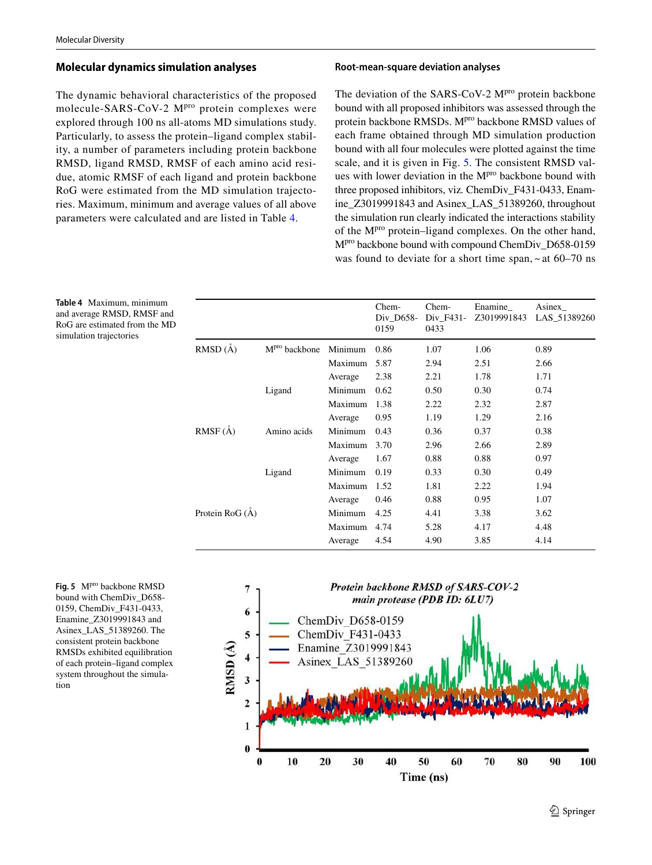## **Molecular dynamics simulation analyses**

The dynamic behavioral characteristics of the proposed molecule-SARS-CoV-2 M<sup>pro</sup> protein complexes were explored through 100 ns all-atoms MD simulations study. Particularly, to assess the protein–ligand complex stability, a number of parameters including protein backbone RMSD, ligand RMSD, RMSF of each amino acid residue, atomic RMSF of each ligand and protein backbone RoG were estimated from the MD simulation trajectories. Maximum, minimum and average values of all above parameters were calculated and are listed in Table [4.](#page-10-0)

#### **Root‑mean‑square deviation analyses**

The deviation of the SARS-CoV-2  $M<sup>pro</sup>$  protein backbone bound with all proposed inhibitors was assessed through the protein backbone RMSDs. M<sup>pro</sup> backbone RMSD values of each frame obtained through MD simulation production bound with all four molecules were plotted against the time scale, and it is given in Fig. [5.](#page-10-1) The consistent RMSD values with lower deviation in the M<sup>pro</sup> backbone bound with three proposed inhibitors, viz*.* ChemDiv\_F431-0433, Enamine Z3019991843 and Asinex LAS 51389260, throughout the simulation run clearly indicated the interactions stability of the Mpro protein–ligand complexes. On the other hand, M<sup>pro</sup> backbone bound with compound ChemDiv\_D658-0159 was found to deviate for a short time span,  $\sim$  at 60–70 ns

<span id="page-10-0"></span>**Table 4** Maximum, minimum and average RMSD, RMSF and RoG are estimated from the MD simulation trajectories

|                         |                           |         | Chem-<br>Div D658-<br>0159 | Chem-<br>Div_F431-<br>0433 | Enamine<br>Z3019991843 | Asinex<br>LAS_51389260 |
|-------------------------|---------------------------|---------|----------------------------|----------------------------|------------------------|------------------------|
| $RMSD(\AA)$             | M <sup>pro</sup> backbone | Minimum | 0.86                       | 1.07                       | 1.06                   | 0.89                   |
|                         |                           | Maximum | 5.87                       | 2.94                       | 2.51                   | 2.66                   |
|                         |                           | Average | 2.38                       | 2.21                       | 1.78                   | 1.71                   |
|                         | Ligand                    | Minimum | 0.62                       | 0.50                       | 0.30                   | 0.74                   |
|                         |                           | Maximum | 1.38                       | 2.22                       | 2.32                   | 2.87                   |
|                         |                           | Average | 0.95                       | 1.19                       | 1.29                   | 2.16                   |
| RMSF (Å)                | Amino acids               | Minimum | 0.43                       | 0.36                       | 0.37                   | 0.38                   |
|                         |                           | Maximum | 3.70                       | 2.96                       | 2.66                   | 2.89                   |
|                         |                           | Average | 1.67                       | 0.88                       | 0.88                   | 0.97                   |
|                         | Ligand                    | Minimum | 0.19                       | 0.33                       | 0.30                   | 0.49                   |
|                         |                           | Maximum | 1.52                       | 1.81                       | 2.22                   | 1.94                   |
|                         |                           | Average | 0.46                       | 0.88                       | 0.95                   | 1.07                   |
| Protein RoG $(\dot{A})$ |                           | Minimum | 4.25                       | 4.41                       | 3.38                   | 3.62                   |
|                         |                           | Maximum | 4.74                       | 5.28                       | 4.17                   | 4.48                   |
|                         |                           | Average | 4.54                       | 4.90                       | 3.85                   | 4.14                   |

<span id="page-10-1"></span>Fig. 5 M<sup>pro</sup> backbone RMSD bound with ChemDiv\_D658- 0159, ChemDiv\_F431-0433, Enamine\_Z3019991843 and Asinex\_LAS\_51389260. The consistent protein backbone RMSDs exhibited equilibration of each protein–ligand complex system throughout the simulation

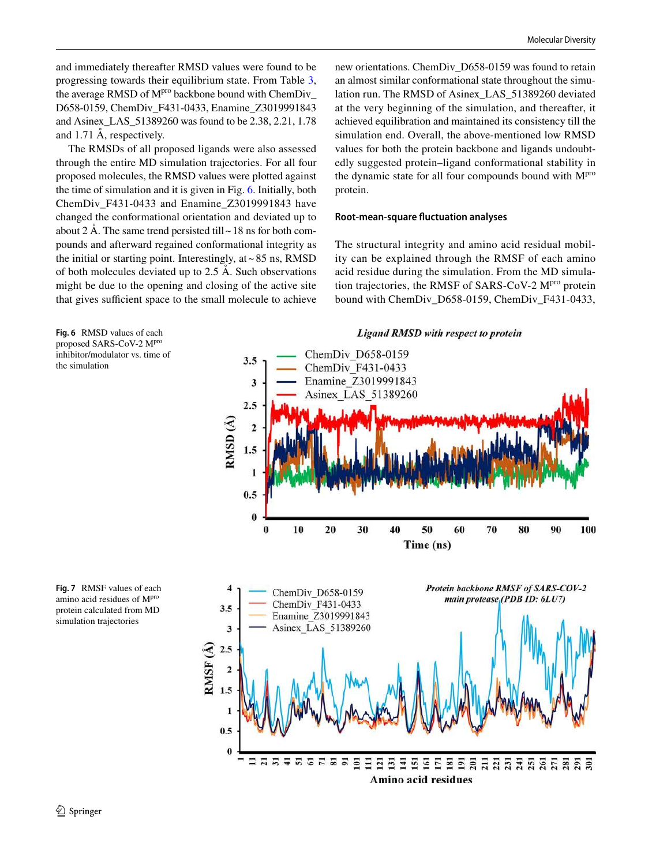and immediately thereafter RMSD values were found to be progressing towards their equilibrium state. From Table [3,](#page-9-1) the average RMSD of M<sup>pro</sup> backbone bound with ChemDiv\_ D658-0159, ChemDiv\_F431-0433, Enamine\_Z3019991843 and Asinex\_LAS\_51389260 was found to be 2.38, 2.21, 1.78 and 1.71 Å, respectively.

The RMSDs of all proposed ligands were also assessed through the entire MD simulation trajectories. For all four proposed molecules, the RMSD values were plotted against the time of simulation and it is given in Fig. [6](#page-11-0). Initially, both ChemDiv\_F431-0433 and Enamine\_Z3019991843 have changed the conformational orientation and deviated up to about 2 Å. The same trend persisted till  $\sim$  18 ns for both compounds and afterward regained conformational integrity as the initial or starting point. Interestingly, at  $\sim 85$  ns, RMSD of both molecules deviated up to 2.5 Å. Such observations might be due to the opening and closing of the active site that gives sufficient space to the small molecule to achieve new orientations. ChemDiv\_D658-0159 was found to retain an almost similar conformational state throughout the simulation run. The RMSD of Asinex\_LAS\_51389260 deviated at the very beginning of the simulation, and thereafter, it achieved equilibration and maintained its consistency till the simulation end. Overall, the above-mentioned low RMSD values for both the protein backbone and ligands undoubtedly suggested protein–ligand conformational stability in the dynamic state for all four compounds bound with M<sup>pro</sup> protein.

#### **Root‑mean‑square fluctuation analyses**

The structural integrity and amino acid residual mobility can be explained through the RMSF of each amino acid residue during the simulation. From the MD simulation trajectories, the RMSF of SARS-CoV-2 M<sup>pro</sup> protein bound with ChemDiv\_D658-0159, ChemDiv\_F431-0433,

<span id="page-11-0"></span>**Fig. 6** RMSD values of each proposed SARS-CoV-2 Mpro inhibitor/modulator vs. time of the simulation



<span id="page-11-1"></span>**Fig. 7** RMSF values of each amino acid residues of Mpro protein calculated from MD simulation trajectories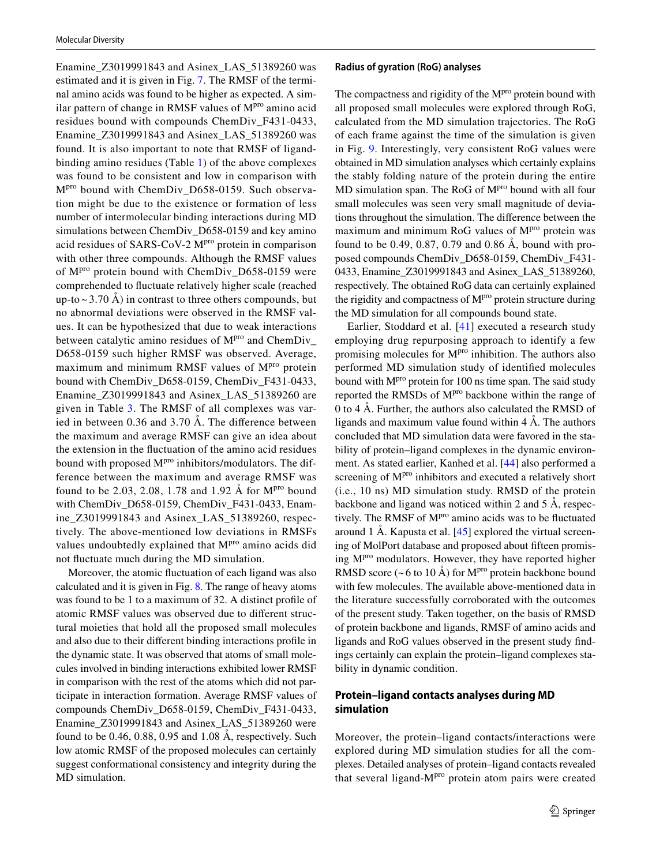Enamine\_Z3019991843 and Asinex\_LAS\_51389260 was estimated and it is given in Fig. [7.](#page-11-1) The RMSF of the terminal amino acids was found to be higher as expected. A similar pattern of change in RMSF values of  $M<sup>pro</sup>$  amino acid residues bound with compounds ChemDiv\_F431-0433, Enamine\_Z3019991843 and Asinex\_LAS\_51389260 was found. It is also important to note that RMSF of ligandbinding amino residues (Table [1\)](#page-5-1) of the above complexes was found to be consistent and low in comparison with M<sup>pro</sup> bound with ChemDiv D658-0159. Such observation might be due to the existence or formation of less number of intermolecular binding interactions during MD simulations between ChemDiv\_D658-0159 and key amino acid residues of SARS-CoV-2 M<sup>pro</sup> protein in comparison with other three compounds. Although the RMSF values of M<sup>pro</sup> protein bound with ChemDiv\_D658-0159 were comprehended to fluctuate relatively higher scale (reached up-to  $\sim$  3.70 Å) in contrast to three others compounds, but no abnormal deviations were observed in the RMSF values. It can be hypothesized that due to weak interactions between catalytic amino residues of M<sup>pro</sup> and ChemDiv\_ D658-0159 such higher RMSF was observed. Average, maximum and minimum RMSF values of  $M<sup>pro</sup>$  protein bound with ChemDiv\_D658-0159, ChemDiv\_F431-0433, Enamine\_Z3019991843 and Asinex\_LAS\_51389260 are given in Table [3.](#page-9-1) The RMSF of all complexes was varied in between 0.36 and 3.70 Å. The difference between the maximum and average RMSF can give an idea about the extension in the fluctuation of the amino acid residues bound with proposed M<sup>pro</sup> inhibitors/modulators. The difference between the maximum and average RMSF was found to be 2.03, 2.08, 1.78 and 1.92 Å for  $M<sup>pro</sup>$  bound with ChemDiv\_D658-0159, ChemDiv\_F431-0433, Enamine\_Z3019991843 and Asinex\_LAS\_51389260, respectively. The above-mentioned low deviations in RMSFs values undoubtedly explained that M<sup>pro</sup> amino acids did not fluctuate much during the MD simulation.

Moreover, the atomic fluctuation of each ligand was also calculated and it is given in Fig. [8](#page-13-0). The range of heavy atoms was found to be 1 to a maximum of 32. A distinct profile of atomic RMSF values was observed due to different structural moieties that hold all the proposed small molecules and also due to their different binding interactions profile in the dynamic state. It was observed that atoms of small molecules involved in binding interactions exhibited lower RMSF in comparison with the rest of the atoms which did not participate in interaction formation. Average RMSF values of compounds ChemDiv\_D658-0159, ChemDiv\_F431-0433, Enamine Z3019991843 and Asinex LAS 51389260 were found to be 0.46, 0.88, 0.95 and 1.08 Å, respectively. Such low atomic RMSF of the proposed molecules can certainly suggest conformational consistency and integrity during the MD simulation.

#### **Radius of gyration (RoG) analyses**

The compactness and rigidity of the  $M<sup>pro</sup>$  protein bound with all proposed small molecules were explored through RoG, calculated from the MD simulation trajectories. The RoG of each frame against the time of the simulation is given in Fig. [9](#page-14-0). Interestingly, very consistent RoG values were obtained in MD simulation analyses which certainly explains the stably folding nature of the protein during the entire MD simulation span. The RoG of M<sup>pro</sup> bound with all four small molecules was seen very small magnitude of deviations throughout the simulation. The difference between the maximum and minimum RoG values of  $M<sup>pro</sup>$  protein was found to be 0.49, 0.87, 0.79 and 0.86 Å, bound with proposed compounds ChemDiv\_D658-0159, ChemDiv\_F431- 0433, Enamine\_Z3019991843 and Asinex\_LAS\_51389260, respectively. The obtained RoG data can certainly explained the rigidity and compactness of  $M<sup>pro</sup>$  protein structure during the MD simulation for all compounds bound state.

Earlier, Stoddard et al. [[41](#page-17-33)] executed a research study employing drug repurposing approach to identify a few promising molecules for  $M<sup>pro</sup>$  inhibition. The authors also performed MD simulation study of identified molecules bound with M<sup>pro</sup> protein for 100 ns time span. The said study reported the RMSDs of M<sup>pro</sup> backbone within the range of 0 to 4 Å. Further, the authors also calculated the RMSD of ligands and maximum value found within  $4 \text{ Å}$ . The authors concluded that MD simulation data were favored in the stability of protein–ligand complexes in the dynamic environment. As stated earlier, Kanhed et al. [[44\]](#page-18-1) also performed a screening of M<sup>pro</sup> inhibitors and executed a relatively short (i.e., 10 ns) MD simulation study. RMSD of the protein backbone and ligand was noticed within 2 and 5 Å, respectively. The RMSF of M<sup>pro</sup> amino acids was to be fluctuated around 1 Å. Kapusta et al. [\[45\]](#page-18-2) explored the virtual screening of MolPort database and proposed about fifteen promising M<sup>pro</sup> modulators. However, they have reported higher RMSD score (~6 to 10 Å) for  $M<sup>pro</sup>$  protein backbone bound with few molecules. The available above-mentioned data in the literature successfully corroborated with the outcomes of the present study. Taken together, on the basis of RMSD of protein backbone and ligands, RMSF of amino acids and ligands and RoG values observed in the present study findings certainly can explain the protein–ligand complexes stability in dynamic condition.

## **Protein–ligand contacts analyses during MD simulation**

Moreover, the protein–ligand contacts/interactions were explored during MD simulation studies for all the complexes. Detailed analyses of protein–ligand contacts revealed that several ligand-M<sup>pro</sup> protein atom pairs were created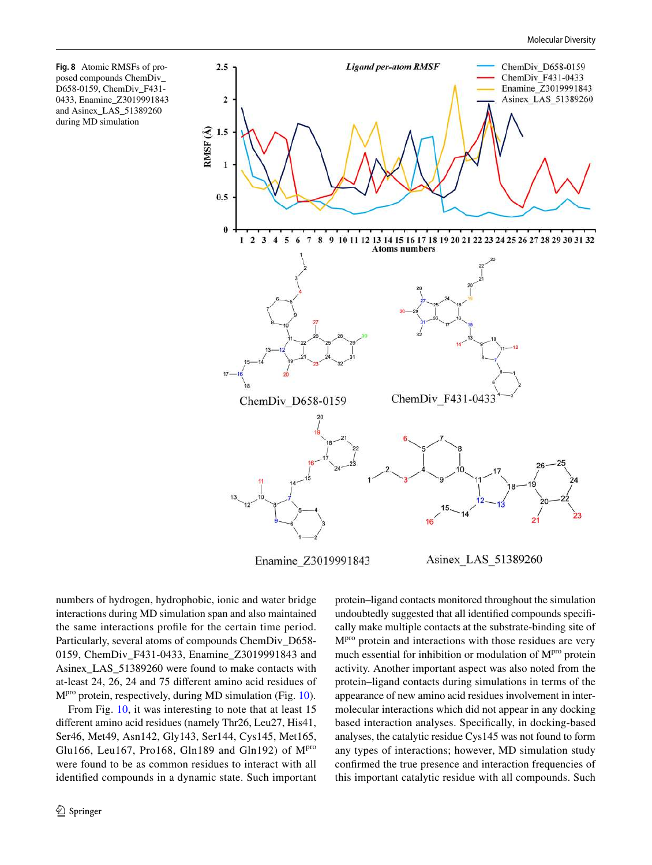<span id="page-13-0"></span>**Fig. 8** Atomic RMSFs of proposed compounds ChemDiv\_ D658-0159, ChemDiv\_F431- 0433, Enamine\_Z3019991843 and Asinex\_LAS\_51389260 during MD simulation



numbers of hydrogen, hydrophobic, ionic and water bridge interactions during MD simulation span and also maintained the same interactions profile for the certain time period. Particularly, several atoms of compounds ChemDiv\_D658- 0159, ChemDiv\_F431-0433, Enamine\_Z3019991843 and Asinex\_LAS\_51389260 were found to make contacts with at-least 24, 26, 24 and 75 different amino acid residues of Mpro protein, respectively, during MD simulation (Fig. [10\)](#page-15-0).

From Fig. [10,](#page-15-0) it was interesting to note that at least 15 different amino acid residues (namely Thr26, Leu27, His41, Ser46, Met49, Asn142, Gly143, Ser144, Cys145, Met165, Glu166, Leu167, Pro168, Gln189 and Gln192) of  $M<sup>pro</sup>$ were found to be as common residues to interact with all identified compounds in a dynamic state. Such important protein–ligand contacts monitored throughout the simulation undoubtedly suggested that all identified compounds specifically make multiple contacts at the substrate-binding site of Mpro protein and interactions with those residues are very much essential for inhibition or modulation of  $M<sup>pro</sup>$  protein activity. Another important aspect was also noted from the protein–ligand contacts during simulations in terms of the appearance of new amino acid residues involvement in intermolecular interactions which did not appear in any docking based interaction analyses. Specifically, in docking-based analyses, the catalytic residue Cys145 was not found to form any types of interactions; however, MD simulation study confirmed the true presence and interaction frequencies of this important catalytic residue with all compounds. Such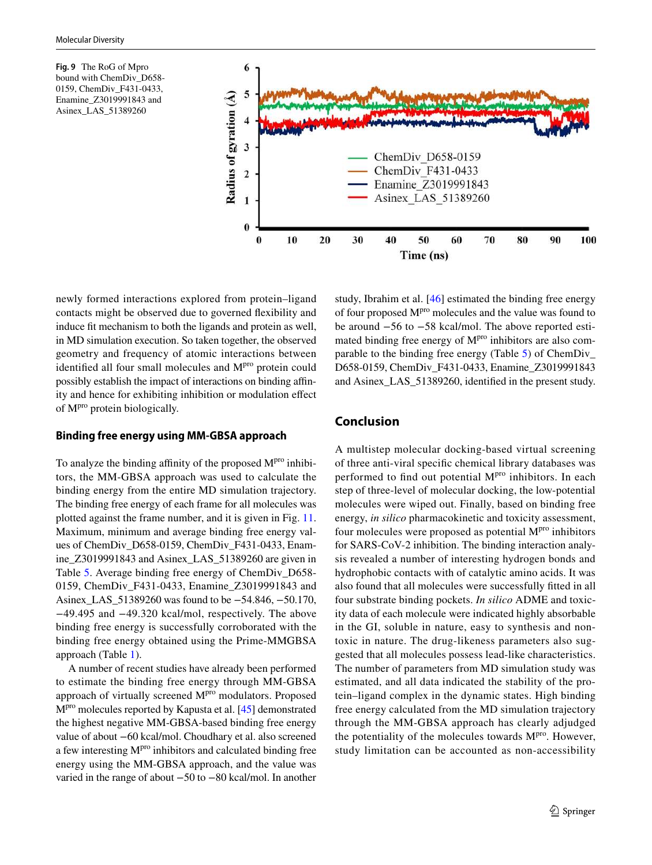<span id="page-14-0"></span>**Fig. 9** The RoG of Mpro bound with ChemDiv\_D658- 0159, ChemDiv\_F431-0433, Enamine\_Z3019991843 and Asinex\_LAS\_51389260



newly formed interactions explored from protein–ligand contacts might be observed due to governed flexibility and induce fit mechanism to both the ligands and protein as well, in MD simulation execution. So taken together, the observed geometry and frequency of atomic interactions between identified all four small molecules and M<sup>pro</sup> protein could possibly establish the impact of interactions on binding affinity and hence for exhibiting inhibition or modulation effect of Mpro protein biologically.

## **Binding free energy using MM‑GBSA approach**

To analyze the binding affinity of the proposed  $M<sup>pro</sup>$  inhibitors, the MM-GBSA approach was used to calculate the binding energy from the entire MD simulation trajectory. The binding free energy of each frame for all molecules was plotted against the frame number, and it is given in Fig. [11.](#page-16-5) Maximum, minimum and average binding free energy values of ChemDiv\_D658-0159, ChemDiv\_F431-0433, Enamine\_Z3019991843 and Asinex\_LAS\_51389260 are given in Table [5.](#page-16-6) Average binding free energy of ChemDiv\_D658- 0159, ChemDiv\_F431-0433, Enamine\_Z3019991843 and Asinex\_LAS\_51389260 was found to be −54.846, −50.170, −49.495 and −49.320 kcal/mol, respectively. The above binding free energy is successfully corroborated with the binding free energy obtained using the Prime-MMGBSA approach (Table [1\)](#page-5-1).

A number of recent studies have already been performed to estimate the binding free energy through MM-GBSA approach of virtually screened M<sup>pro</sup> modulators. Proposed M<sup>pro</sup> molecules reported by Kapusta et al. [\[45](#page-18-2)] demonstrated the highest negative MM-GBSA-based binding free energy value of about −60 kcal/mol. Choudhary et al. also screened a few interesting M<sup>pro</sup> inhibitors and calculated binding free energy using the MM-GBSA approach, and the value was varied in the range of about −50 to −80 kcal/mol. In another

study, Ibrahim et al. [[46\]](#page-18-3) estimated the binding free energy of four proposed M<sup>pro</sup> molecules and the value was found to be around −56 to −58 kcal/mol. The above reported estimated binding free energy of M<sup>pro</sup> inhibitors are also comparable to the binding free energy (Table [5](#page-16-6)) of ChemDiv\_ D658-0159, ChemDiv\_F431-0433, Enamine\_Z3019991843 and Asinex\_LAS\_51389260, identified in the present study.

## **Conclusion**

A multistep molecular docking-based virtual screening of three anti-viral specific chemical library databases was performed to find out potential M<sup>pro</sup> inhibitors. In each step of three-level of molecular docking, the low-potential molecules were wiped out. Finally, based on binding free energy, *in silico* pharmacokinetic and toxicity assessment, four molecules were proposed as potential  $M<sup>pro</sup>$  inhibitors for SARS-CoV-2 inhibition. The binding interaction analysis revealed a number of interesting hydrogen bonds and hydrophobic contacts with of catalytic amino acids. It was also found that all molecules were successfully fitted in all four substrate binding pockets. *In silico* ADME and toxicity data of each molecule were indicated highly absorbable in the GI, soluble in nature, easy to synthesis and nontoxic in nature. The drug-likeness parameters also suggested that all molecules possess lead-like characteristics. The number of parameters from MD simulation study was estimated, and all data indicated the stability of the protein–ligand complex in the dynamic states. High binding free energy calculated from the MD simulation trajectory through the MM-GBSA approach has clearly adjudged the potentiality of the molecules towards  $M<sup>pro</sup>$ . However, study limitation can be accounted as non-accessibility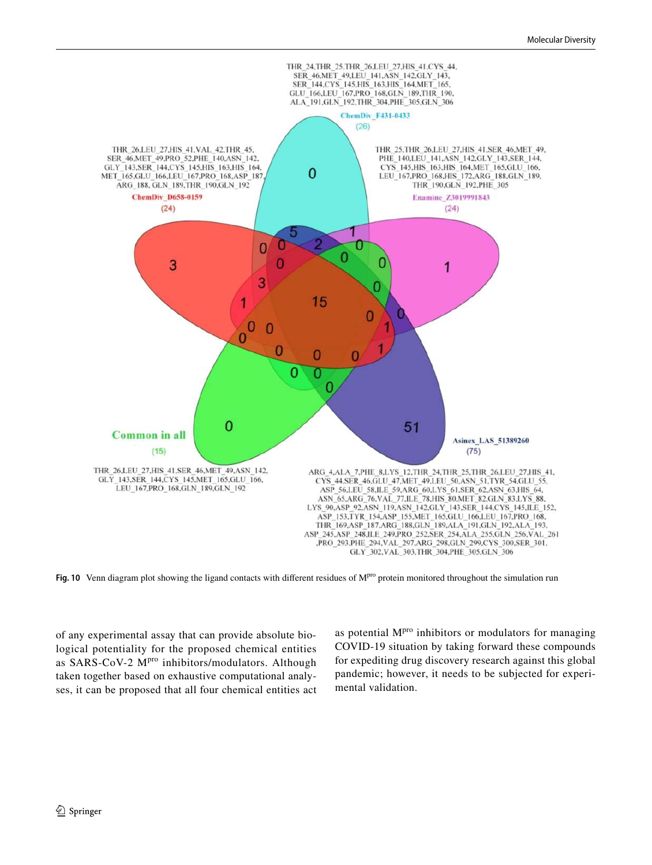

<span id="page-15-0"></span>Fig. 10 Venn diagram plot showing the ligand contacts with different residues of M<sup>pro</sup> protein monitored throughout the simulation run

of any experimental assay that can provide absolute biological potentiality for the proposed chemical entities as SARS-CoV-2 M<sup>pro</sup> inhibitors/modulators. Although taken together based on exhaustive computational analyses, it can be proposed that all four chemical entities act as potential  $M<sup>pro</sup>$  inhibitors or modulators for managing COVID-19 situation by taking forward these compounds for expediting drug discovery research against this global pandemic; however, it needs to be subjected for experimental validation.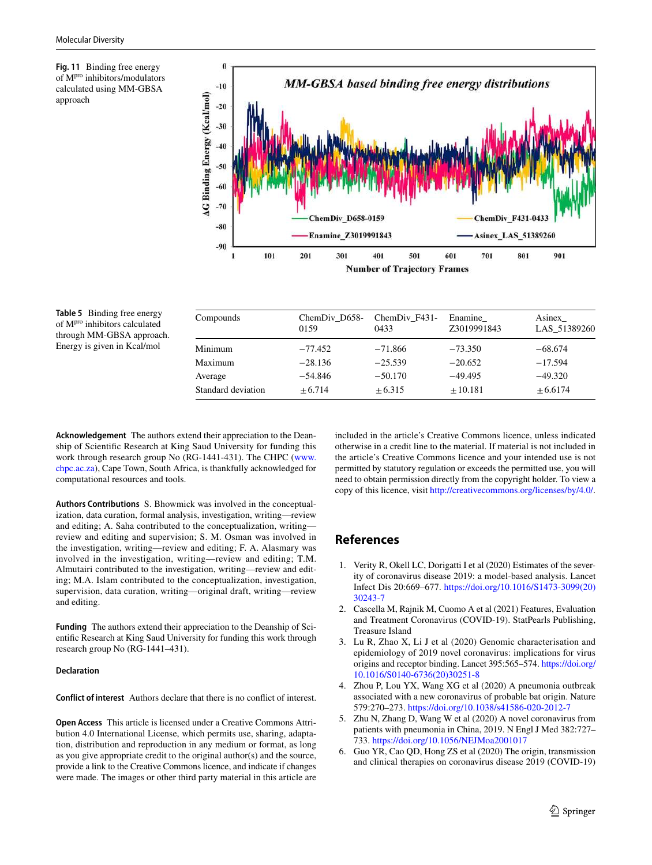<span id="page-16-5"></span>**Fig. 11** Binding free energy of Mpro inhibitors/modulators calculated using MM-GBSA approach



#### <span id="page-16-6"></span>**Table 5** Binding free energy of Mpro inhibitors calculated through MM-GBSA approach. Energy is given in Kcal/mol

| Compounds          | ChemDiv D658-<br>0159 | ChemDiv F431-<br>0433 | Enamine<br>Z3019991843 | Asinex<br>LAS 51389260 |
|--------------------|-----------------------|-----------------------|------------------------|------------------------|
| Minimum            | $-77.452$             | $-71.866$             | $-73.350$              | $-68.674$              |
| Maximum            | $-28.136$             | $-25.539$             | $-20.652$              | $-17.594$              |
| Average            | $-54.846$             | $-50.170$             | $-49.495$              | $-49.320$              |
| Standard deviation | $+6.714$              | $+6.315$              | $+10.181$              | $+6.6174$              |

**Acknowledgement** The authors extend their appreciation to the Deanship of Scientific Research at King Saud University for funding this work through research group No (RG-1441-431). The CHPC ([www.](http://www.chpc.ac.za) [chpc. ac. za](http://www.chpc.ac.za)), Cape Town, South Africa, is thankfully acknowledged for computational resources and tools.

**Authors Contributions** S. Bhowmick was involved in the conceptualization, data curation, formal analysis, investigation, writing—review and editing; A. Saha contributed to the conceptualization, writing review and editing and supervision; S. M. Osman was involved in the investigation, writing—review and editing; F. A. Alasmary was involved in the investigation, writing—review and editing; T.M. Almutairi contributed to the investigation, writing—review and editing; M.A. Islam contributed to the conceptualization, investigation, supervision, data curation, writing—original draft, writing—review and editing.

**Funding** The authors extend their appreciation to the Deanship of Scientific Research at King Saud University for funding this work through research group No (RG-1441–431).

#### **Declaration**

**Conflict of interest** Authors declare that there is no conflict of interest.

**Open Access** This article is licensed under a Creative Commons Attribution 4.0 International License, which permits use, sharing, adaptation, distribution and reproduction in any medium or format, as long as you give appropriate credit to the original author(s) and the source, provide a link to the Creative Commons licence, and indicate if changes were made. The images or other third party material in this article are

included in the article's Creative Commons licence, unless indicated otherwise in a credit line to the material. If material is not included in the article's Creative Commons licence and your intended use is not permitted by statutory regulation or exceeds the permitted use, you will need to obtain permission directly from the copyright holder. To view a copy of this licence, visit http://creativecommons.org/licenses/by/4.0/.

# **References**

- <span id="page-16-0"></span> 1. Verity R, Okell LC, Dorigatti I et al (2020) Estimates of the severity of coronavirus disease 2019: a model-based analysis. Lancet Infect Dis 20:669-677. https://doi.org/10.1016/S1473-3099(20) [30243-7](https://doi.org/10.1016/S1473-3099(20)30243-7)
- <span id="page-16-1"></span> 2. Cascella M, Rajnik M, Cuomo A et al (2021) Features, Evaluation and Treatment Coronavirus (COVID-19). StatPearls Publishing, Treasure Island
- <span id="page-16-2"></span> 3. Lu R, Zhao X, Li J et al (2020) Genomic characterisation and epidemiology of 2019 novel coronavirus: implications for virus origins and receptor binding. Lancet 395:565–574. [https:// doi. org/](https://doi.org/10.1016/S0140-6736(20)30251-8) 10.1016/S0140-6736(20)30251-8
- Zhou P, Lou YX, Wang XG et al (2020) A pneumonia outbreak associated with a new coronavirus of probable bat origin. Nature 579:270-273. https://doi.org/10.1038/s41586-020-2012-7
- <span id="page-16-3"></span> 5. Zhu N, Zhang D, Wang W et al (2020) A novel coronavirus from patients with pneumonia in China, 2019. N Engl J Med 382:727– 733. https://doi.org/10.1056/NEJMoa2001017
- <span id="page-16-4"></span> 6. Guo YR, Cao QD, Hong ZS et al (2020) The origin, transmission and clinical therapies on coronavirus disease 2019 (COVID-19)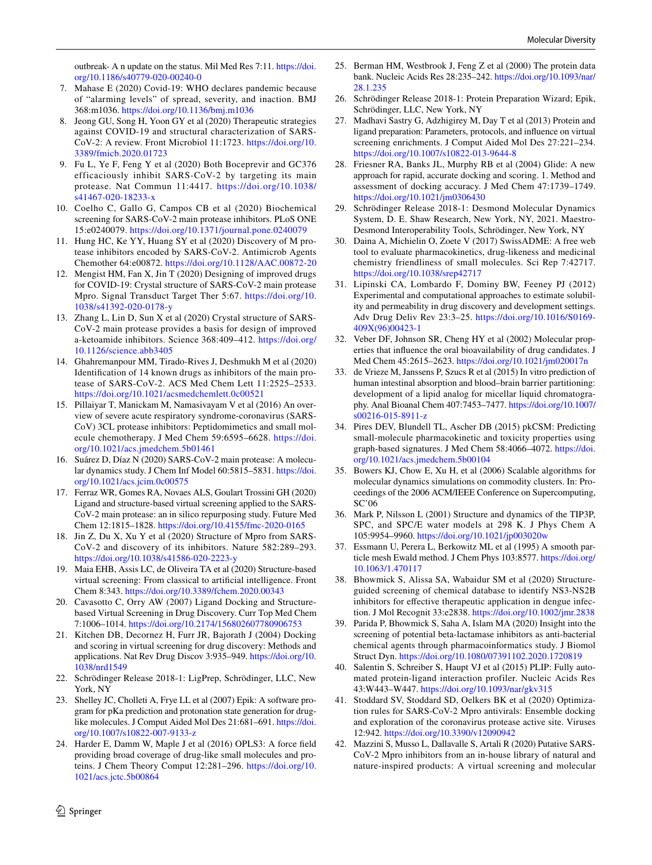outbreak- A n update on the status. Mil Med Res 7:11. https://doi. org/10.1186/s40779-020-00240-0

- <span id="page-17-0"></span> 7. Mahase E (2020) Covid-19: WHO declares pandemic because of "alarming levels" of spread, severity, and inaction. BMJ 368:m1036. https://doi.org/10.1136/bmj.m1036
- <span id="page-17-1"></span> 8. Jeong GU, Song H, Yoon GY et al (2020) Therapeutic strategies against COVID-19 and structural characterization of SARS-CoV-2: A review. Front Microbiol 11:1723. https://doi.org/10. 3389/fmich. 2020. 01723
- <span id="page-17-2"></span> 9. Fu L, Ye F, Feng Y et al (2020) Both Boceprevir and GC376 efficaciously inhibit SARS-CoV-2 by targeting its main protease. Nat Commun 11:4417. [https:// doi. org/ 10. 1038/](https://doi.org/10.1038/s41467-020-18233-x) s41467-020-18233-x
- <span id="page-17-10"></span> 10. Coelho C, Gallo G, Campos CB et al (2020) Biochemical screening for SARS-CoV-2 main protease inhibitors. PLoS ONE 15:e0240079. https://doi.org/10.1371/journal.pone.0240079
- <span id="page-17-9"></span> 11. Hung HC, Ke YY, Huang SY et al (2020) Discovery of M protease inhibitors encoded by SARS-CoV-2. Antimicrob Agents Chemother 64:e00872. [https:// doi. org/ 10. 1128/ AAC. 00872- 20](https://doi.org/10.1128/AAC.00872-20)
- <span id="page-17-4"></span> 12. Mengist HM, Fan X, Jin T (2020) Designing of improved drugs for COVID-19: Crystal structure of SARS-CoV-2 main protease Mpro. Signal Transduct Target Ther 5:67. https://doi.org/10. 1038/s41392-020-0178-y
- <span id="page-17-3"></span> 13. Zhang L, Lin D, Sun X et al (2020) Crystal structure of SARS-CoV-2 main protease provides a basis for design of improved a-ketoamide inhibitors. Science 368:409–412. [https:// doi. org/](https://doi.org/10.1126/science.abb3405) 10.1126/science.abb3405
- <span id="page-17-7"></span> 14. Ghahremanpour MM, Tirado-Rives J, Deshmukh M et al (2020) Identification of 14 known drugs as inhibitors of the main protease of SARS-CoV-2. ACS Med Chem Lett 11:2525–2533. https://doi.org/10.1021/acsmedchem lett.0c00521
- 15. Pillaiyar T, Manickam M, Namasivayam V et al (2016) An overview of severe acute respiratory syndrome-coronavirus (SARS-CoV) 3CL protease inhibitors: Peptidomimetics and small molecule chemotherapy. J Med Chem 59:6595–6628. https://doi. org/10.1021/acs.jmedchem.5b01461
- <span id="page-17-5"></span> 16. Suárez D, Díaz N (2020) SARS-CoV-2 main protease: A molecular dynamics study. J Chem Inf Model 60:5815-5831. https://doi. org/10.1021/acs.jcim.0c00575
- <span id="page-17-6"></span> 17. Ferraz WR, Gomes RA, Novaes ALS, Goulart Trossini GH (2020) Ligand and structure-based virtual screening applied to the SARS-CoV-2 main protease: an in silico repurposing study. Future Med Chem 12:1815-1828. https://doi.org/10.4155/fmc-2020-0165
- <span id="page-17-8"></span> 18. Jin Z, Du X, Xu Y et al (2020) Structure of Mpro from SARS-CoV-2 and discovery of its inhibitors. Nature 582:289–293. https://doi.org/10.1038/s41586-020-2223-y
- <span id="page-17-11"></span> 19. Maia EHB, Assis LC, de Oliveira TA et al (2020) Structure-based virtual screening: From classical to artificial intelligence. Front Chem 8:343. https://doi.org/10.3389/fchem.2020.00343
- <span id="page-17-12"></span> 20. Cavasotto C, Orry AW (2007) Ligand Docking and Structurebased Virtual Screening in Drug Discovery. Curr Top Med Chem 7:1006-1014. https://doi.org/10.2174/156802607780906753
- <span id="page-17-13"></span> 21. Kitchen DB, Decornez H, Furr JR, Bajorath J (2004) Docking and scoring in virtual screening for drug discovery: Methods and applications. Nat Rev Drug Discov 3:935-949. https://doi.org/10. 1038/nrd1549
- <span id="page-17-14"></span> 22. Schrödinger Release 2018-1: LigPrep, Schrödinger, LLC, New York, NY
- <span id="page-17-15"></span> 23. Shelley JC, Cholleti A, Frye LL et al (2007) Epik: A software program for pKa prediction and protonation state generation for druglike molecules. J Comput Aided Mol Des 21:681–691. https://doi. org/10.1007/s10822-007-9133-z
- <span id="page-17-16"></span> 24. Harder E, Damm W, Maple J et al (2016) OPLS3: A force field providing broad coverage of drug-like small molecules and proteins. J Chem Theory Comput 12:281-296. https://doi.org/10. 1021/acs.jctc.5b00864
- <span id="page-17-17"></span> 25. Berman HM, Westbrook J, Feng Z et al (2000) The protein data bank. Nucleic Acids Res 28:235-242. https://doi.org/10.1093/nar/ [28.1. 235](https://doi.org/10.1093/nar/28.1.235)
- <span id="page-17-18"></span> 26. Schrödinger Release 2018-1: Protein Preparation Wizard; Epik, Schrödinger, LLC, New York, NY
- <span id="page-17-19"></span> 27. Madhavi Sastry G, Adzhigirey M, Day T et al (2013) Protein and ligand preparation: Parameters, protocols, and influence on virtual screening enrichments. J Comput Aided Mol Des 27:221–234. https://doi.org/10.1007/s10822-013-9644-8
- <span id="page-17-20"></span> 28. Friesner RA, Banks JL, Murphy RB et al (2004) Glide: A new approach for rapid, accurate docking and scoring. 1. Method and assessment of docking accuracy. J Med Chem 47:1739–1749. https://doi.org/10.1021/jm0306430
- <span id="page-17-21"></span> 29. Schrödinger Release 2018-1: Desmond Molecular Dynamics System, D. E. Shaw Research, New York, NY, 2021. Maestro-Desmond Interoperability Tools, Schrödinger, New York, NY
- <span id="page-17-22"></span>Daina A, Michielin O, Zoete V (2017) SwissADME: A free web tool to evaluate pharmacokinetics, drug-likeness and medicinal chemistry friendliness of small molecules. Sci Rep 7:42717. https://doi.org/10.1038/srep42717
- <span id="page-17-23"></span> 31. Lipinski CA, Lombardo F, Dominy BW, Feeney PJ (2012) Experimental and computational approaches to estimate solubility and permeability in drug discovery and development settings. Adv Drug Deliv Rev 23:3-25. https://doi.org/10.1016/S0169-[409X\(96\) 00423-1](https://doi.org/10.1016/S0169-409X(96)00423-1)
- <span id="page-17-24"></span> 32. Veber DF, Johnson SR, Cheng HY et al (2002) Molecular properties that influence the oral bioavailability of drug candidates. J Med Chem 45:2615-2623. https://doi.org/10.1021/jm020017n
- <span id="page-17-25"></span> 33. de Vrieze M, Janssens P, Szucs R et al (2015) In vitro prediction of human intestinal absorption and blood–brain barrier partitioning: development of a lipid analog for micellar liquid chromatography. Anal Bioanal Chem 407:7453–7477. [https:// doi. org/ 10. 1007/](https://doi.org/10.1007/s00216-015-8911-z) s00216-015-8911-z
- <span id="page-17-26"></span> 34. Pires DEV, Blundell TL, Ascher DB (2015) pkCSM: Predicting small-molecule pharmacokinetic and toxicity properties using graph-based signatures. J Med Chem 58:4066-4072. https://doi. org/10.1021/acs.jmedchem.5b00104
- <span id="page-17-27"></span> 35. Bowers KJ, Chow E, Xu H, et al (2006) Scalable algorithms for molecular dynamics simulations on commodity clusters. In: Proceedings of the 2006 ACM/IEEE Conference on Supercomputing, SC'06
- <span id="page-17-28"></span> 36. Mark P, Nilsson L (2001) Structure and dynamics of the TIP3P, SPC, and SPC/E water models at 298 K. J Phys Chem A 105:9954–9960. [https:// doi. org/ 10. 1021/ jp003 020w](https://doi.org/10.1021/jp003020w)
- <span id="page-17-29"></span> 37. Essmann U, Perera L, Berkowitz ML et al (1995) A smooth particle mesh Ewald method. J Chem Phys 103:8577. https://doi.org/ [10. 1063/1. 470117](https://doi.org/10.1063/1.470117)
- <span id="page-17-30"></span> 38. Bhowmick S, Alissa SA, Wabaidur SM et al (2020) Structureguided screening of chemical database to identify NS3-NS2B inhibitors for effective therapeutic application in dengue infection. J Mol Recognit 33:e2838. https://doi.org/10.1002/jmr.2838
- <span id="page-17-31"></span> 39. Parida P, Bhowmick S, Saha A, Islam MA (2020) Insight into the screening of potential beta-lactamase inhibitors as anti-bacterial chemical agents through pharmacoinformatics study. J Biomol Struct Dyn. https://doi.org/10.1080/07391102.2020.1720819
- <span id="page-17-32"></span> 40. Salentin S, Schreiber S, Haupt VJ et al (2015) PLIP: Fully automated protein-ligand interaction profiler. Nucleic Acids Res 43:W443–W447. https://doi.org/10.1093/nar/gkv315
- <span id="page-17-33"></span> 41. Stoddard SV, Stoddard SD, Oelkers BK et al (2020) Optimization rules for SARS-CoV-2 Mpro antivirals: Ensemble docking and exploration of the coronavirus protease active site. Viruses 12:942. https://doi.org/10.3390/v12090942
- <span id="page-17-34"></span> 42. Mazzini S, Musso L, Dallavalle S, Artali R (2020) Putative SARS-CoV-2 Mpro inhibitors from an in-house library of natural and nature-inspired products: A virtual screening and molecular